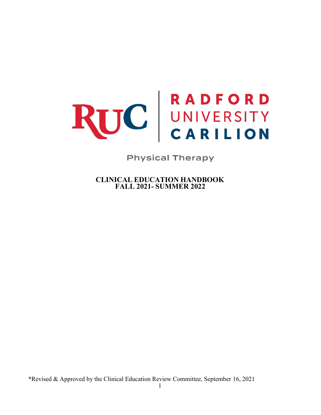# RUC BADFORD

**Physical Therapy** 

<span id="page-0-0"></span>**CLINICAL EDUCATION HANDBOOK FALL 2021- SUMMER 2022**

\*Revised & Approved by the Clinical Education Review Committee, September 16, 2021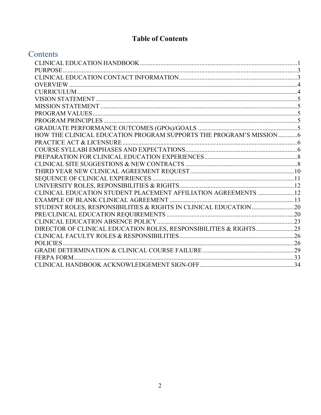# **Table of Contents**

# Contents

| HOW THE CLINICAL EDUCATION PROGRAM SUPPORTS THE PROGRAM'S MISSION 6 |  |
|---------------------------------------------------------------------|--|
|                                                                     |  |
|                                                                     |  |
|                                                                     |  |
|                                                                     |  |
|                                                                     |  |
|                                                                     |  |
|                                                                     |  |
| CLINICAL EDUCATION STUDENT PLACEMENT AFFILIATION AGREEMENTS  12     |  |
|                                                                     |  |
|                                                                     |  |
|                                                                     |  |
|                                                                     |  |
| DIRECTOR OF CLINICAL EDUCATION ROLES, RESPONSIBILITIES & RIGHTS 25  |  |
|                                                                     |  |
|                                                                     |  |
|                                                                     |  |
| FERPA FORM.                                                         |  |
|                                                                     |  |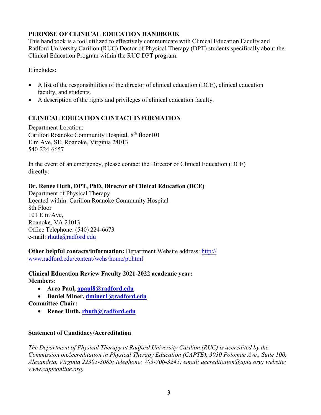#### <span id="page-2-0"></span>**PURPOSE OF CLINICAL EDUCATION HANDBOOK**

This handbook is a tool utilized to effectively communicate with Clinical Education Faculty and Radford University Carilion (RUC) Doctor of Physical Therapy (DPT) students specifically about the Clinical Education Program within the RUC DPT program.

It includes:

- A list of the responsibilities of the director of clinical education (DCE), clinical education faculty, and students.
- A description of the rights and privileges of clinical education faculty.

### <span id="page-2-1"></span>**CLINICAL EDUCATION CONTACT INFORMATION**

Department Location: Carilion Roanoke Community Hospital, 8<sup>th</sup> floor 101 Elm Ave, SE, Roanoke, Virginia 24013 540-224-6657

In the event of an emergency, please contact the Director of Clinical Education (DCE) directly:

#### **Dr. Renée Huth, DPT, PhD, Director of Clinical Education (DCE)**

Department of Physical Therapy Located within: Carilion Roanoke Community Hospital 8th Floor 101 Elm Ave, Roanoke, VA 24013 Office Telephone: (540) 224-6673 e-mail: [rhuth@radford.edu](mailto:rhuth@radford.edu)

**Other helpful contacts/information:** Department Website address: http:// [www.radford.edu/content/wchs/home/pt.html](http://www.radford.edu/content/wchs/home/pt.html)

**Clinical Education Review Faculty 2021-2022 academic year: Members:**

- **Arco Paul, [apaul8@radford.edu](mailto:apaul8@radford.edu)**
- **Daniel Miner, [dminer1@radford.edu](mailto:dminer1@radford.edu)**

#### **Committee Chair:**

• **Renee Huth, [rhuth@radford.edu](mailto:rhuth@radford.edu)**

#### **Statement of Candidacy/Accreditation**

*The Department of Physical Therapy at Radford University Carilion (RUC) is accredited by the Commission on Accreditation in Physical Therapy Education (CAPTE), 3030 Potomac Ave., Suite 100, Alexandria, Virginia 22305-3085; telephone: 703-706-3245; email: accreditation@apta.org; website: [www.capteonline.org.](http://www.capteonline.org/)*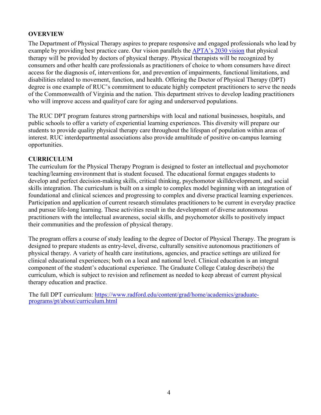#### <span id="page-3-0"></span>**OVERVIEW**

The Department of Physical Therapy aspires to prepare responsive and engaged professionals who lead by example by providing best practice care. Our vision parallels the APTA's 2030 vision that physical therapy will be provided by doctors of physical therapy. Physical therapists will be recognized by consumers and other health care professionals as practitioners of choice to whom consumers have direct access for the diagnosis of, interventions for, and prevention of impairments, functional limitations, and disabilities related to movement, function, and health. Offering the Doctor of Physical Therapy (DPT) degree is one example of RUC's commitment to educate highly competent practitioners to serve the needs of the Commonwealth of Virginia and the nation. This department strives to develop leading practitioners who will improve access and qualityof care for aging and underserved populations.

The RUC DPT program features strong partnerships with local and national businesses, hospitals, and public schools to offer a variety of experiential learning experiences. This diversity will prepare our students to provide quality physical therapy care throughout the lifespan of population within areas of interest. RUC interdepartmental associations also provide amultitude of positive on-campus learning opportunities.

#### <span id="page-3-1"></span>**CURRICULUM**

The curriculum for the Physical Therapy Program is designed to foster an intellectual and psychomotor teaching/learning environment that is student focused. The educational format engages students to develop and perfect decision-making skills, critical thinking, psychomotor skilldevelopment, and social skills integration. The curriculum is built on a simple to complex model beginning with an integration of foundational and clinical sciences and progressing to complex and diverse practical learning experiences. Participation and application of current research stimulates practitioners to be current in everyday practice and pursue life-long learning. These activities result in the development of diverse autonomous practitioners with the intellectual awareness, social skills, and psychomotor skills to positively impact their communities and the profession of physical therapy.

The program offers a course of study leading to the degree of Doctor of Physical Therapy. The program is designed to prepare students as entry-level, diverse, culturally sensitive autonomous practitioners of physical therapy. A variety of health care institutions, agencies, and practice settings are utilized for clinical educational experiences; both on a local and national level. Clinical education is an integral component of the student's educational experience. The Graduate College Catalog describe(s) the curriculum, which is subject to revision and refinement as needed to keep abreast of current physical therapy education and practice.

The full DPT curriculum: [https://www.radford.edu/content/grad/home/academics/graduate-](https://www.radford.edu/content/grad/home/academics/graduate-%20programs/pt/about/curriculum.html) [programs/pt/about/curriculum.html](https://www.radford.edu/content/grad/home/academics/graduate-%20programs/pt/about/curriculum.html)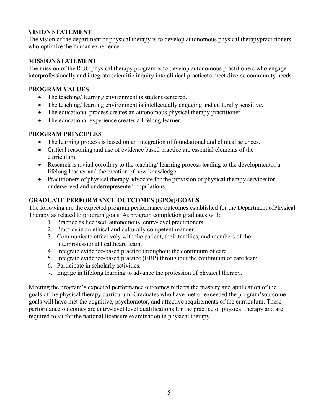#### <span id="page-4-0"></span>**VISION STATEMENT**

The vision of the department of physical therapy is to develop autonomous physical therapypractitioners who optimize the human experience.

#### <span id="page-4-1"></span>**MISSION STATEMENT**

The mission of the RUC physical therapy program is to develop autonomous practitioners who engage interprofessionally and integrate scientific inquiry into clinical practiceto meet diverse community needs.

#### <span id="page-4-2"></span>**PROGRAM VALUES**

- The teaching/ learning environment is student centered.
- The teaching/ learning environment is intellectually engaging and culturally sensitive.
- The educational process creates an autonomous physical therapy practitioner.
- The educational experience creates a lifelong learner.

#### <span id="page-4-3"></span>**PROGRAM PRINCIPLES**

- The learning process is based on an integration of foundational and clinical sciences.
- Critical reasoning and use of evidence based practice are essential elements of the curriculum.
- Research is a vital corollary to the teaching/ learning process leading to the developmentof a lifelong learner and the creation of new knowledge.
- Practitioners of physical therapy advocate for the provision of physical therapy services for underserved and underrepresented populations.

#### <span id="page-4-4"></span>**GRADUATE PERFORMANCE OUTCOMES (GPOs)/GOALS**

The following are the expected program performance outcomes established for the Department ofPhysical Therapy as related to program goals. At program completion graduates will:

- 1. Practice as licensed, autonomous, entry-level practitioners.
- 2. Practice in an ethical and culturally competent manner.
- 3. Communicate effectively with the patient, their families, and members of the interprofessional healthcare team.
- 4. Integrate evidence-based practice throughout the continuum of care.
- 5. Integrate evidence-based practice (EBP) throughout the continuum of care team.
- 6. Participate in scholarly activities.
- 7. Engage in lifelong learning to advance the profession of physical therapy.

Meeting the program's expected performance outcomes reflects the mastery and application of the goals of the physical therapy curriculum. Graduates who have met or exceeded the program'soutcome goals will have met the cognitive, psychomotor, and affective requirements of the curriculum. These performance outcomes are entry-level level qualifications for the practice of physical therapy and are required to sit for the national licensure examination in physical therapy.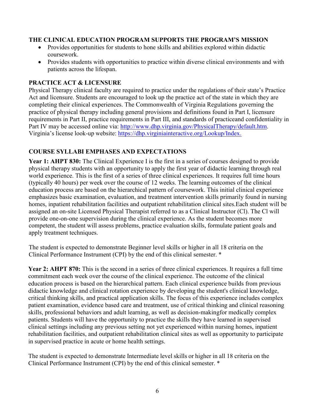#### <span id="page-5-0"></span>**THE CLINICAL EDUCATION PROGRAM SUPPORTS THE PROGRAM'S MISSION**

- Provides opportunities for students to hone skills and abilities explored within didactic coursework.
- Provides students with opportunities to practice within diverse clinical environments and with patients across the lifespan.

#### <span id="page-5-1"></span>**PRACTICE ACT & LICENSURE**

Physical Therapy clinical faculty are required to practice under the regulations of their state's Practice Act and licensure. Students are encouraged to look up the practice act of the state in which they are completing their clinical experiences. The Commonwealth of Virginia Regulations governing the practice of physical therapy including general provisions and definitions found in Part I, licensure requirements in Part II, practice requirements in Part III, and standards of practiceand confidentiality in Part IV may be accessed online via: [http://www.dhp.virginia.gov/PhysicalTherapy/default.htm.](http://www.dhp.virginia.gov/PhysicalTherapy/default.htm) Virginia's license look-up website: https://dhp.virginiainteractive.org/Lookup/Index.

#### <span id="page-5-2"></span>**COURSE SYLLABI EMPHASES AND EXPECTATIONS**

Year 1: AHPT 830: The Clinical Experience I is the first in a series of courses designed to provide physical therapy students with an opportunity to apply the first year of didactic learning through real world experience. This is the first of a series of three clinical experiences. It requires full time hours (typically 40 hours) per week over the course of 12 weeks. The learning outcomes of the clinical education process are based on the hierarchical pattern of coursework. This initial clinical experience emphasizes basic examination, evaluation, and treatment intervention skills primarily found in nursing homes, inpatient rehabilitation facilities and outpatient rehabilitation clinical sites.Each student will be assigned an on-site Licensed Physical Therapist referred to as a Clinical Instructor (Cl). The Cl will provide one-on-one supervision during the clinical experience. As the student becomes more competent, the student will assess problems, practice evaluation skills, formulate patient goals and apply treatment techniques.

The student is expected to demonstrate Beginner level skills or higher in all 18 criteria on the Clinical Performance Instrument (CPI) by the end of this clinical semester. \*

**Year 2: AHPT 870:** This is the second in a series of three clinical experiences. It requires a full time commitment each week over the course of the clinical experience. The outcome of the clinical education process is based on the hierarchical pattern. Each clinical experience builds from previous didactic knowledge and clinical rotation experience by developing the student's clinical knowledge, critical thinking skills, and practical application skills. The focus of this experience includes complex patient examination, evidence based care and treatment, use of critical thinking and clinical reasoning skills, professional behaviors and adult learning, as well as decision-makingfor medically complex patients. Students will have the opportunity to practice the skills they have learned in supervised clinical settings including any previous setting not yet experienced within nursing homes, inpatient rehabilitation facilities, and outpatient rehabilitation clinical sites as well as opportunity to participate in supervised practice in acute or home health settings.

The student is expected to demonstrate Intermediate level skills or higher in all 18 criteria on the Clinical Performance Instrument (CPI) by the end of this clinical semester. \*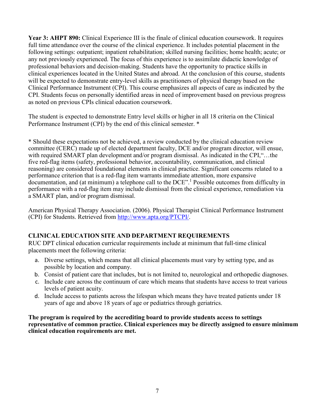**Year 3: AHPT 890:** Clinical Experience III is the finale of clinical education coursework. It requires full time attendance over the course of the clinical experience. It includes potential placement in the following settings: outpatient; inpatient rehabilitation; skilled nursing facilities; home health; acute; or any not previously experienced. The focus of this experience is to assimilate didactic knowledge of professional behaviors and decision-making. Students have the opportunity to practice skills in clinical experiences located in the United States and abroad. At the conclusion of this course, students will be expected to demonstrate entry-level skills as practitioners of physical therapy based on the Clinical Performance Instrument (CPI). This course emphasizes all aspects of care as indicated by the CPI. Students focus on personally identified areas in need of improvement based on previous progress as noted on previous CPIs clinical education coursework.

The student is expected to demonstrate Entry level skills or higher in all 18 criteria on the Clinical Performance Instrument (CPI) by the end of this clinical semester. \*

\* Should these expectations not be achieved, a review conducted by the clinical education review committee (CERC) made up of elected department faculty, DCE and/or program director, will ensue, with required SMART plan development and/or program dismissal. As indicated in the CPI, "...the five red-flag items (safety, professional behavior, accountability, communication, and clinical reasoning) are considered foundational elements in clinical practice. Significant concerns related to a performance criterion that is a red-flag item warrants immediate attention, more expansive documentation, and (at minimum) a telephone call to the DCE".1 Possible outcomes from difficulty in performance with a red-flag item may include dismissal from the clinical experience, remediation via a SMART plan, and/or program dismissal.

American Physical Therapy Association. (2006). Physical Therapist Clinical Performance Instrument (CPI) for Students. Retrieved from [http://www.apta.org/PTCPI/.](http://www.apta.org/PTCPI/)

#### **CLINICAL EDUCATION SITE AND DEPARTMENT REQUIREMENTS**

RUC DPT clinical education curricular requirements include at minimum that full-time clinical placements meet the following criteria:

- a. Diverse settings, which means that all clinical placements must vary by setting type, and as possible by location and company.
- b. Consist of patient care that includes, but is not limited to, neurological and orthopedic diagnoses.
- c. Include care across the continuum of care which means that students have access to treat various levels of patient acuity.
- d. Include access to patients across the lifespan which means they have treated patients under 18 years of age and above 18 years of age or pediatrics through geriatrics.

**The program is required by the accrediting board to provide students access to settings representative of common practice. Clinical experiences may be directly assigned to ensure minimum clinical education requirements are met.**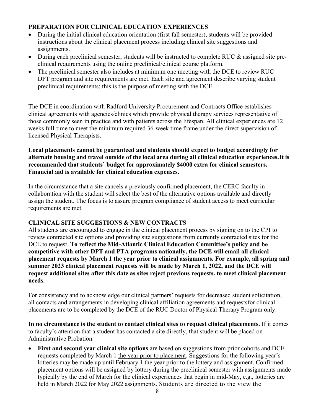#### <span id="page-7-0"></span>**PREPARATION FOR CLINICAL EDUCATION EXPERIENCES**

- During the initial clinical education orientation (first fall semester), students will be provided instructions about the clinical placement process including clinical site suggestions and assignments.
- During each preclinical semester, students will be instructed to complete RUC & assigned site preclinical requirements using the online preclinical/clinical course platform.
- The preclinical semester also includes at minimum one meeting with the DCE to review RUC DPT program and site requirements are met. Each site and agreement describe varying student preclinical requirements; this is the purpose of meeting with the DCE.

The DCE in coordination with Radford University Procurement and Contracts Office establishes clinical agreements with agencies/clinics which provide physical therapy services representative of those commonly seen in practice and with patients across the lifespan. All clinical experiences are 12 weeks full-time to meet the minimum required 36-week time frame under the direct supervision of licensed Physical Therapists.

#### **Local placements cannot be guaranteed and students should expect to budget accordingly for alternate housing and travel outside of the local area during all clinical education experiences.It is recommended that students' budget for approximately \$4000 extra for clinical semesters. Financial aid is available for clinical education expenses.**

In the circumstance that a site cancels a previously confirmed placement, the CERC faculty in collaboration with the student will select the best of the alternative options available and directly assign the student. The focus is to assure program compliance of student access to meet curricular requirements are met.

#### <span id="page-7-1"></span>**CLINICAL SITE SUGGESTIONS & NEW CONTRACTS**

All students are encouraged to engage in the clinical placement process by signing on to the CPI to review contracted site options and providing site suggestions from currently contracted sites for the DCE to request. **To reflect the Mid-Atlantic Clinical Education Committee's policy and be competitive with other DPT and PTA programs nationally, the DCE will email all clinical placement requests by March 1 the year prior to clinical assignments. For example, all spring and summer 2023 clinical placement requests will be made by March 1, 2022, and the DCE will request additional sites after this date as sites reject previous requests. to meet clinical placement needs.**

For consistency and to acknowledge our clinical partners' requests for decreased student solicitation, all contacts and arrangements in developing clinical affiliation agreements and requestsfor clinical placements are to be completed by the DCE of the RUC Doctor of Physical Therapy Program only.

**In no circumstance is the student to contact clinical sites to request clinical placements.** If it comes to faculty's attention that a student has contacted a site directly, that student will be placed on Administrative Probation.

• **First and second year clinical site options** are based on suggestions from prior cohorts and DCE requests completed by March 1 the year prior to placement. Suggestions for the following year's lotteries may be made up until February 1 the year prior to the lottery and assignment. Confirmed placement options will be assigned by lottery during the preclinical semester with assignments made typically by the end of March for the clinical experiences that begin in mid-May, e.g., lotteries are held in March 2022 for May 2022 assignments. Students are directed to the view the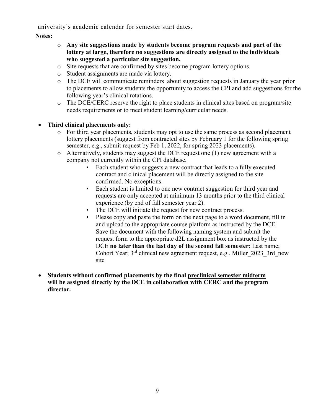university's academic calendar for semester start dates.

**Notes:** 

- o **Any site suggestions made by students become program requests and part of the lottery at large, therefore no suggestions are directly assigned to the individuals who suggested a particular site suggestion.**
- o Site requests that are confirmed by sites become program lottery options.
- o Student assignments are made via lottery.
- o The DCE will communicate reminders about suggestion requests in January the year prior to placements to allow students the opportunity to access the CPI and add suggestions for the following year's clinical rotations.
- o The DCE/CERC reserve the right to place students in clinical sites based on program/site needs requirements or to meet student learning/curricular needs.

#### • **Third clinical placements only:**

- o For third year placements, students may opt to use the same process as second placement lottery placements (suggest from contracted sites by February 1 for the following spring semester, e.g., submit request by Feb 1, 2022, for spring 2023 placements).
- o Alternatively, students may suggest the DCE request one (1) new agreement with a company not currently within the CPI database.
	- Each student who suggests a new contract that leads to a fully executed contract and clinical placement will be directly assigned to the site confirmed. No exceptions.
	- Each student is limited to one new contract suggestion for third year and requests are only accepted at minimum 13 months prior to the third clinical experience (by end of fall semester year 2).
	- The DCE will initiate the request for new contract process.
	- Please copy and paste the form on the next page to a word document, fill in and upload to the appropriate course platform as instructed by the DCE. Save the document with the following naming system and submit the request form to the appropriate d2L assignment box as instructed by the DCE **no later than the last day of the second fall semester**: Last name; Cohort Year; 3<sup>rd</sup> clinical new agreement request, e.g., Miller 2023 3rd new site
- **Students without confirmed placements by the final preclinical semester midterm will be assigned directly by the DCE in collaboration with CERC and the program director.**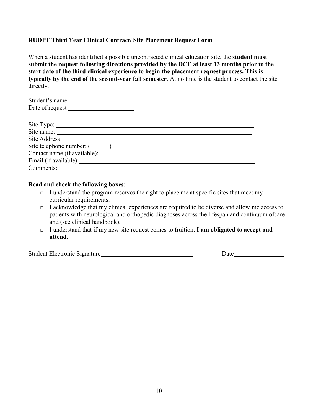#### <span id="page-9-0"></span>**RUDPT Third Year Clinical Contract/ Site Placement Request Form**

When a student has identified a possible uncontracted clinical education site, the **student must submit the request following directions provided by the DCE at least 13 months prior to the start date of the third clinical experience to begin the placement request process. This is typically by the end of the second-year fall semester**. At no time is the student to contact the site directly.

#### **Read and check the following boxes**:

- **□** I understand the program reserves the right to place me at specific sites that meet my curricular requirements.
- **□** I acknowledge that my clinical experiences are required to be diverse and allow me access to patients with neurological and orthopedic diagnoses across the lifespan and continuum of care and (see clinical handbook).
- **□** I understand that if my new site request comes to fruition, **I am obligated to accept and attend**.

Student Electronic Signature **Date** Date Date Date Date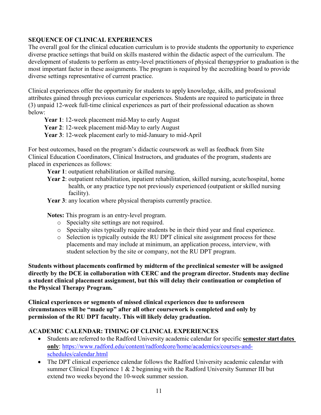#### <span id="page-10-0"></span>**SEQUENCE OF CLINICAL EXPERIENCES**

The overall goal for the clinical education curriculum is to provide students the opportunity to experience diverse practice settings that build on skills mastered within the didactic aspect of the curriculum. The development of students to perform as entry-level practitioners of physical therapy prior to graduation is the most important factor in these assignments. The program is required by the accrediting board to provide diverse settings representative of current practice.

Clinical experiences offer the opportunity for students to apply knowledge, skills, and professional attributes gained through previous curricular experiences. Students are required to participate in three (3) unpaid 12-week full-time clinical experiences as part of their professional education as shown below:

**Year 1**: 12-week placement mid-May to early August

**Year 2**: 12-week placement mid-May to early August

**Year 3**: 12-week placement early to mid-January to mid-April

For best outcomes, based on the program's didactic coursework as well as feedback from Site Clinical Education Coordinators, Clinical Instructors, and graduates of the program, students are placed in experiences as follows:

Year 1: outpatient rehabilitation or skilled nursing.

- Year 2: outpatient rehabilitation, inpatient rehabilitation, skilled nursing, acute/hospital, home health, or any practice type not previously experienced (outpatient or skilled nursing facility).
- Year 3: any location where physical therapists currently practice.

**Notes:** This program is an entry-level program.

- o Specialty site settings are not required.
- o Specialty sites typically require students be in their third year and final experience.
- o Selection is typically outside the RU DPT clinical site assignment process for these placements and may include at minimum, an application process, interview, with student selection by the site or company, not the RU DPT program.

**Students without placements confirmed by midterm of the preclinical semester will be assigned directly by the DCE in collaboration with CERC and the program director. Students may decline a student clinical placement assignment, but this will delay their continuation or completion of the Physical Therapy Program.**

**Clinical experiences or segments of missed clinical experiences due to unforeseen circumstances will be "made up" after all other coursework is completed and only by permission of the RU DPT faculty. This will likely delay graduation.** 

#### **ACADEMIC CALENDAR: TIMING OF CLINICAL EXPERIENCES**

- Students are referred to the Radford University academic calendar for specific **semester start dates only**: [https://www.radford.edu/content/radfordcore/home/academics/courses-and](https://www.radford.edu/content/radfordcore/home/academics/courses-and-schedules/calendar.html)[schedules/calendar.html](https://www.radford.edu/content/radfordcore/home/academics/courses-and-schedules/calendar.html)
- The DPT clinical experience calendar follows the Radford University academic calendar with summer Clinical Experience 1 & 2 beginning with the Radford University Summer III but extend two weeks beyond the 10-week summer session.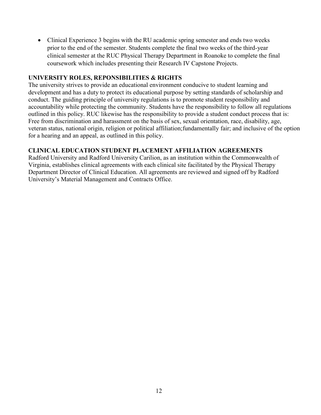• Clinical Experience 3 begins with the RU academic spring semester and ends two weeks prior to the end of the semester. Students complete the final two weeks of the third-year clinical semester at the RUC Physical Therapy Department in Roanoke to complete the final coursework which includes presenting their Research IV Capstone Projects.

#### <span id="page-11-0"></span>**UNIVERSITY ROLES, REPONSIBILITIES & RIGHTS**

The university strives to provide an educational environment conducive to student learning and development and has a duty to protect its educational purpose by setting standards of scholarship and conduct. The guiding principle of university regulations is to promote student responsibility and accountability while protecting the community. Students have the responsibility to follow all regulations outlined in this policy. RUC likewise has the responsibility to provide a student conduct process that is: Free from discrimination and harassment on the basis of sex, sexual orientation, race, disability, age, veteran status, national origin, religion or political affiliation;fundamentally fair; and inclusive of the option for a hearing and an appeal, as outlined in this policy.

#### <span id="page-11-1"></span>**CLINICAL EDUCATION STUDENT PLACEMENT AFFILIATION AGREEMENTS**

Radford University and Radford University Carilion, as an institution within the Commonwealth of Virginia, establishes clinical agreements with each clinical site facilitated by the Physical Therapy Department Director of Clinical Education. All agreements are reviewed and signed off by Radford University's Material Management and Contracts Office.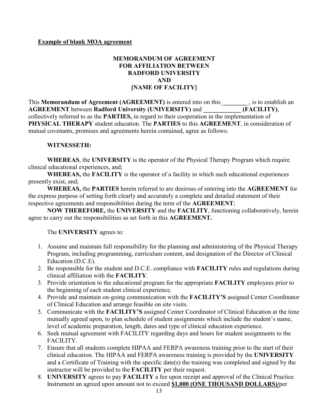#### <span id="page-12-0"></span>**Example of blank MOA agreement**

#### **MEMORANDUM OF AGREEMENT FOR AFFILIATION BETWEEN RADFORD UNIVERSITY AND [NAME OF FACILITY]**

This **Memorandum of Agreement (AGREEMENT)** is entered into on this\_**\_\_\_\_\_\_\_**\_, is to establish an **AGREEMENT** between **Radford University (UNIVERSITY)** and **\_\_\_\_\_\_\_\_\_\_\_\_ (FACILITY)**, collectively referred to as the **PARTIES,** in regard to their cooperation in the implementation of **PHYSICAL THERAPY** student education. The **PARTIES** to this **AGREEMENT**, in consideration of mutual covenants, promises and agreements herein contained, agree as follows:

#### **WITNESSETH:**

**WHEREAS**, the **UNIVERSITY** is the operator of the Physical Therapy Program which require clinical educational experiences, and;

**WHEREAS,** the **FACILITY** is the operator of a facility in which such educational experiences presently exist, and;

**WHEREAS,** the **PARTIES** herein referred to are desirous of entering into the **AGREEMENT** for the express purpose of setting forth clearly and accurately a complete and detailed statement of their respective agreements and responsibilities during the term of the **AGREEMENT**;

**NOW THEREFORE,** the **UNIVERSITY** and the **FACILITY**, functioning collaboratively, herein agree to carry out the responsibilities as set forth in this **AGREEMENT.**

The **UNIVERSITY** agrees to:

- 1. Assume and maintain full responsibility for the planning and administering of the Physical Therapy Program, including programming, curriculum content, and designation of the Director of Clinical Education (D.C.E).
- 2. Be responsible for the student and D.C.E. compliance with **FACILITY** rules and regulations during clinical affiliation with the **FACILITY**.
- 3. Provide orientation to the educational program for the appropriate **FACILITY** employees prior to the beginning of each student clinical experience.
- 4. Provide and maintain on-going communication with the **FACILITY'S** assigned Center Coordinator of Clinical Education and arrange feasible on site visits.
- 5. Communicate with the **FACILITY'S** assigned Center Coordinator of Clinical Education at the time mutually agreed upon, to plan schedule of student assignments which include the student's name, level of academic preparation, length, dates and type of clinical education experience.
- 6. Seek mutual agreement with FACILITY regarding days and hours for student assignments to the FACILITY.
- 7. Ensure that all students complete HIPAA and FERPA awareness training prior to the start of their clinical education. The HIPAA and FERPA awareness training is provided by the **UNIVERSITY** and a Certificate of Training with the specific date(s) the training was completed and signed by the instructor will be provided to the **FACILITY** per their request.
- 8. **UNIVERSITY** agrees to pay **FACILITY** a fee upon receipt and approval of the Clinical Practice Instrument an agreed upon amount not to exceed **\$1,000 (ONE THOUSAND DOLLARS)/**per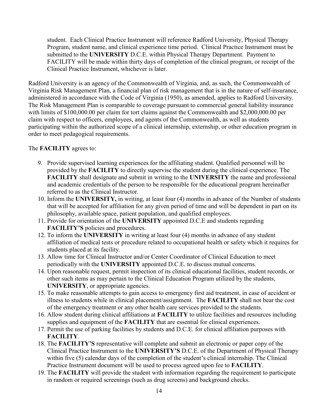student. Each Clinical Practice Instrument will reference Radford University, Physical Therapy Program, student name, and clinical experience time period. Clinical Practice Instrument must be submitted to the **UNIVERSITY** D.C.E. within Physical Therapy Department. Payment to FACILITY will be made within thirty days of completion of the clinical program, or receipt of the Clinical Practice Instrument, whichever is later.

Radford University is an agency of the Commonwealth of Virginia, and, as such, the Commonwealth of Virginia Risk Management Plan, a financial plan of risk management that is in the nature of self-insurance, administered in accordance with the Code of Virginia (1950), as amended, applies to Radford University. The Risk Management Plan is comparable to coverage pursuant to commercial general liability insurance with limits of \$100,000.00 per claim for tort claims against the Commonwealth and \$2,000,000.00 per claim with respect to officers, employees, and agents of the Commonwealth, as well as students participating within the authorized scope of a clinical internship, externship, or other education program in order to meet pedagogical requirements.

The **FACILITY** agrees to:

- 9. Provide supervised learning experiences for the affiliating student. Qualified personnel will be provided by the **FACILITY** to directly supervise the student during the clinical experience. The **FACILITY** shall designate and submit in writing to the **UNIVERSITY** the name and professional and academic credentials of the person to be responsible for the educational program hereinafter referred to as the Clinical Instructor.
- 10. Inform the **UNIVERSITY,** in writing, at least four (4) months in advance of the Number of students that will be accepted for affiliation for any given period of time and will be dependent in part on its philosophy, available space, patient population, and qualified employees.
- 11. Provide for orientation of the **UNIVERSITY** appointed D.C.E and students regarding **FACILITY'S** policies and procedures.
- 12. To inform the **UNIVERSITY** in writing at least four (4) months in advance of any student affiliation of medical tests or procedure related to occupational health or safety which it requires for students placed at its facility.
- 13. Allow time for Clinical Instructor and/or Center Coordinator of Clinical Education to meet periodically with the **UNIVERSITY** appointed D.C.E. to discuss mutual concerns.
- 14. Upon reasonable request, permit inspection of its clinical educational facilities, student records, or other such items as may pertain to the Clinical Education Program utilized by the students, **UNIVERSITY**, or appropriate agencies.
- 15. To make reasonable attempts to gain access to emergency first aid treatment, in case of accident or illness to students while in clinical placement/assignment. The **FACILITY** shall not bear the cost of the emergency treatment or any other health care services provided to the students.
- 16. Allow student during clinical affiliations at **FACILITY** to utilize facilities and resources including supplies and equipment of the **FACILITY** that are essential for clinical experiences.
- 17. Permit the use of parking facilities by students and D.C.E. for clinical affiliation purposes with **FACILITY**.
- 18. The **FACILITY'S** representative will complete and submit an electronic or paper copy of the Clinical Practice Instrument to the **UNIVERSITY'S** D.C.E. of the Department of Physical Therapy within five (5) calendar days of the completion of the student's clinical internship. The Clinical Practice Instrument document will be used to process agreed upon fee to **FACILITY**.
- 19. The **FACILITY** will provide the student with information regarding the requirement to participate in random or required screenings (such as drug screens) and background checks.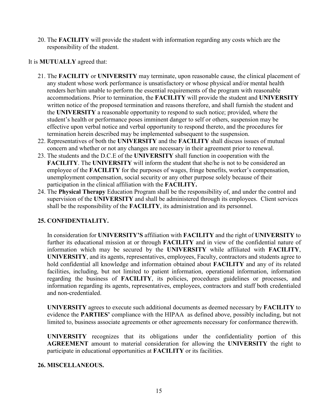20. The **FACILITY** will provide the student with information regarding any costs which are the responsibility of the student.

#### It is **MUTUALLY** agreed that:

- 21. The **FACILITY** or **UNIVERSITY** may terminate, upon reasonable cause, the clinical placement of any student whose work performance is unsatisfactory or whose physical and/or mental health renders her/him unable to perform the essential requirements of the program with reasonable accommodations. Prior to termination, the **FACILITY** will provide the student and **UNIVERSITY** written notice of the proposed termination and reasons therefore, and shall furnish the student and the **UNIVERSITY** a reasonable opportunity to respond to such notice; provided, where the student's health or performance poses imminent danger to self or others, suspension may be effective upon verbal notice and verbal opportunity to respond thereto, and the procedures for termination herein described may be implemented subsequent to the suspension.
- 22. Representatives of both the **UNIVERSITY** and the **FACILITY** shall discuss issues of mutual concern and whether or not any changes are necessary in their agreement prior to renewal.
- 23. The students and the D.C.E of the **UNIVERSITY** shall function in cooperation with the **FACILITY**. The **UNIVERSITY** will inform the student that she/he is not to be considered an employee of the **FACILITY** for the purposes of wages, fringe benefits, worker's compensation, unemployment compensation, social security or any other purpose solely because of their participation in the clinical affiliation with the **FACILITY.**
- 24. The **Physical Therapy** Education Program shall be the responsibility of, and under the control and supervision of the **UNIVERSITY** and shall be administered through its employees. Client services shall be the responsibility of the **FACILITY**, its administration and its personnel.

#### **25. CONFIDENTIALITY.**

In consideration for **UNIVERSITY'S** affiliation with **FACILITY** and the right of **UNIVERSITY** to further its educational mission at or through **FACILITY** and in view of the confidential nature of information which may be secured by the **UNIVERSITY** while affiliated with **FACILITY**, **UNIVERSITY**, and its agents, representatives, employees, Faculty, contractors and students agree to hold confidential all knowledge and information obtained about **FACILITY** and any of its related facilities, including, but not limited to patient information, operational information, information regarding the business of **FACILITY**, its policies, procedures guidelines or processes, and information regarding its agents, representatives, employees, contractors and staff both credentialed and non-credentialed.

**UNIVERSITY** agrees to execute such additional documents as deemed necessary by **FACILITY** to evidence the **PARTIES'** compliance with the HIPAA as defined above, possibly including, but not limited to, business associate agreements or other agreements necessary for conformance therewith.

**UNIVERSITY** recognizes that its obligations under the confidentiality portion of this **AGREEMENT** amount to material consideration for allowing the **UNIVERSITY** the right to participate in educational opportunities at **FACILITY** or its facilities.

#### **26. MISCELLANEOUS.**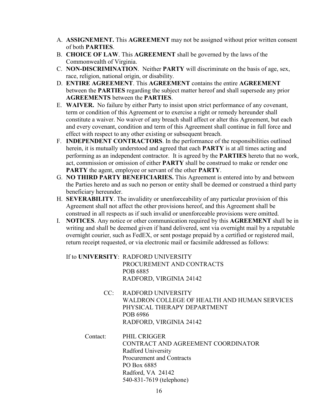- A. **ASSIGNEMENT.** This **AGREEMENT** may not be assigned without prior written consent of both **PARTIES**.
- B. **CHOICE OF LAW**. This **AGREEMENT** shall be governed by the laws of the Commonwealth of Virginia.
- C. **NON-DISCRIMINATION**. Neither **PARTY** will discriminate on the basis of age, sex, race, religion, national origin, or disability.
- D. **ENTIRE AGREEMENT**. This **AGREEMENT** contains the entire **AGREEMENT** between the **PARTIES** regarding the subject matter hereof and shall supersede any prior **AGREEMENTS** between the **PARTIES**.
- E. **WAIVER.** No failure by either Party to insist upon strict performance of any covenant, term or condition of this Agreement or to exercise a right or remedy hereunder shall constitute a waiver. No waiver of any breach shall affect or alter this Agreement, but each and every covenant, condition and term of this Agreement shall continue in full force and effect with respect to any other existing or subsequent breach.
- F. **INDEPENDENT CONTRACTORS**. In the performance of the responsibilities outlined herein, it is mutually understood and agreed that each **PARTY** is at all times acting and performing as an independent contractor. It is agreed by the **PARTIES** hereto that no work, act, commission or omission of either **PARTY** shall be construed to make or render one **PARTY** the agent, employee or servant of the other **PARTY**.
- G. **NO THIRD PARTY BENEFICIARIES.** This Agreement is entered into by and between the Parties hereto and as such no person or entity shall be deemed or construed a third party beneficiary hereunder.
- H. **SEVERABILITY**. The invalidity or unenforceability of any particular provision of this Agreement shall not affect the other provisions hereof, and this Agreement shall be construed in all respects as if such invalid or unenforceable provisions were omitted.
- I. **NOTICES**. Any notice or other communication required by this **AGREEMENT** shall be in writing and shall be deemed given if hand delivered, sent via overnight mail by a reputable overnight courier, such as FedEX, or sent postage prepaid by a certified or registered mail, return receipt requested, or via electronic mail or facsimile addressed as follows:

If to **UNIVERSITY**: RADFORD UNIVERSITY PROCUREMENT AND CONTRACTS POB 6885 RADFORD, VIRGINIA 24142

- CC: RADFORD UNIVERSITY WALDRON COLLEGE OF HEALTH AND HUMAN SERVICES PHYSICAL THERAPY DEPARTMENT POB 6986 RADFORD, VIRGINIA 24142
- Contact: PHIL CRIGGER CONTRACT AND AGREEMENT COORDINATOR Radford University Procurement and Contracts PO Box 6885 Radford, VA 24142 540-831-7619 (telephone)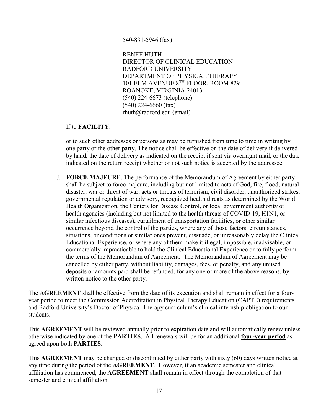#### 540-831-5946 (fax)

RENEE HUTH DIRECTOR OF CLINICAL EDUCATION RADFORD UNIVERSITY DEPARTMENT OF PHYSICAL THERAPY 101 ELM AVENUE 8TH FLOOR, ROOM 829 ROANOKE, VIRGINIA 24013 (540) 224-6673 (telephone) (540) 224-6660 (fax) rhuth@radford.edu (email)

#### If to **FACILITY**:

or to such other addresses or persons as may be furnished from time to time in writing by one party or the other party. The notice shall be effective on the date of delivery if delivered by hand, the date of delivery as indicated on the receipt if sent via overnight mail, or the date indicated on the return receipt whether or not such notice is accepted by the addressee.

J. **FORCE MAJEURE**. The performance of the Memorandum of Agreement by either party shall be subject to force majeure, including but not limited to acts of God, fire, flood, natural disaster, war or threat of war, acts or threats of terrorism, civil disorder, unauthorized strikes, governmental regulation or advisory, recognized health threats as determined by the World Health Organization, the Centers for Disease Control, or local government authority or health agencies (including but not limited to the health threats of COVID-19, H1N1, or similar infectious diseases), curtailment of transportation facilities, or other similar occurrence beyond the control of the parties, where any of those factors, circumstances, situations, or conditions or similar ones prevent, dissuade, or unreasonably delay the Clinical Educational Experience, or where any of them make it illegal, impossible, inadvisable, or commercially impracticable to hold the Clinical Educational Experience or to fully perform the terms of the Memorandum of Agreement. The Memorandum of Agreement may be cancelled by either party, without liability, damages, fees, or penalty, and any unused deposits or amounts paid shall be refunded, for any one or more of the above reasons, by written notice to the other party.

The **AGREEMENT** shall be effective from the date of its execution and shall remain in effect for a fouryear period to meet the Commission Accreditation in Physical Therapy Education (CAPTE) requirements and Radford University's Doctor of Physical Therapy curriculum's clinical internship obligation to our students.

This **AGREEMENT** will be reviewed annually prior to expiration date and will automatically renew unless otherwise indicated by one of the **PARTIES**. All renewals will be for an additional **four-year period** as agreed upon both **PARTIES**.

This **AGREEMENT** may be changed or discontinued by either party with sixty (60) days written notice at any time during the period of the **AGREEMENT**. However, if an academic semester and clinical affiliation has commenced, the **AGREEMENT** shall remain in effect through the completion of that semester and clinical affiliation.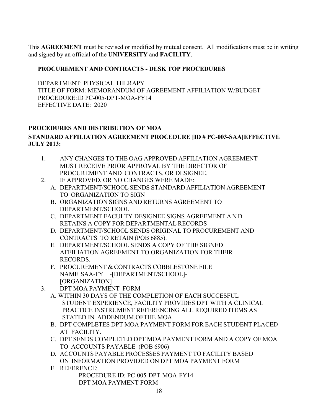This **AGREEMENT** must be revised or modified by mutual consent. All modifications must be in writing and signed by an official of the **UNIVERSITY** and **FACILITY**.

#### **PROCUREMENT AND CONTRACTS - DESK TOP PROCEDURES**

DEPARTMENT: PHYSICAL THERAPY TITLE OF FORM: MEMORANDUM OF AGREEMENT AFFILIATION W/BUDGET PROCEDURE:ID PC-005-DPT-MOA-FY14 EFFECTIVE DATE: 2020

#### **PROCEDURES AND DISTRIBUTION OF MOA STANDARD AFFILIATION AGREEMENT PROCEDURE [ID # PC-003-SAA]EFFECTIVE JULY 2013:**

- 1. ANY CHANGES TO THE OAG APPROVED AFFILIATION AGREEMENT MUST RECEIVE PRIOR APPROVAL BY THE DIRECTOR OF PROCUREMENT AND CONTRACTS, OR DESIGNEE.
- 2. IF APPROVED, OR NO CHANGES WERE MADE:
	- A. DEPARTMENT/SCHOOL SENDS STANDARD AFFILIATION AGREEMENT TO ORGANIZATION TO SIGN
	- B. ORGANIZATION SIGNS AND RETURNS AGREEMENT TO DEPARTMENT/SCHOOL
	- C. DEPARTMENT FACULTY DESIGNEE SIGNS AGREEMENT AND RETAINS A COPY FOR DEPARTMENTAL RECORDS
	- D. DEPARTMENT/SCHOOL SENDS ORIGINAL TO PROCUREMENT AND CONTRACTS TO RETAIN (POB 6885).
	- E. DEPARTMENT/SCHOOL SENDS A COPY OF THE SIGNED AFFILIATION AGREEMENT TO ORGANIZATION FOR THEIR RECORDS.
	- F. PROCUREMENT & CONTRACTS COBBLESTONE FILE NAME SAA-FY -[DEPARTMENT/SCHOOL]- [ORGANIZATION]
- 3. DPT MOA PAYMENT FORM
	- A. WITHIN 30 DAYS OF THE COMPLETION OF EACH SUCCESFUL STUDENT EXPERIENCE, FACILITY PROVIDES DPT WITH A CLINICAL PRACTICE INSTRUMENT REFERENCING ALL REQUIRED ITEMS AS STATED IN ADDENDUM.OFTHE MOA.
	- B. DPT COMPLETES DPT MOA PAYMENT FORM FOR EACH STUDENT PLACED AT FACILITY.
	- C. DPT SENDS COMPLETED DPT MOA PAYMENT FORM AND A COPY OF MOA TO ACCOUNTS PAYABLE (POB 6906)
	- D. ACCOUNTS PAYABLE PROCESSES PAYMENT TO FACILITY BASED ON INFORMATION PROVIDED ON DPT MOA PAYMENT FORM
	- E. REFERENCE:

PROCEDURE ID: PC-005-DPT-MOA-FY14 DPT MOA PAYMENT FORM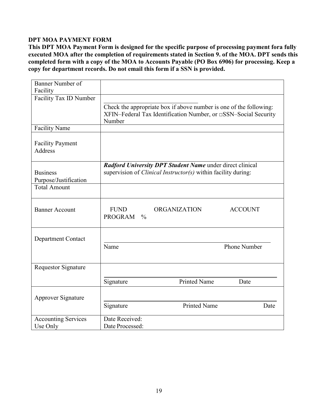#### **DPT MOA PAYMENT FORM**

This DPT MOA Payment Form is designed for the specific purpose of processing payment fora fully **executed MOA after the completion of requirements stated in Section 9. of the MOA. DPT sends this completed form with a copy of the MOA to Accounts Payable (PO Box 6906) for processing. Keep a copy for department records. Do not email this form if a SSN is provided.**

| Banner Number of<br>Facility              |                                                                                                                                                 |
|-------------------------------------------|-------------------------------------------------------------------------------------------------------------------------------------------------|
| Facility Tax ID Number                    | Check the appropriate box if above number is one of the following:<br>XFIN–Federal Tax Identification Number, or □SSN–Social Security<br>Number |
| <b>Facility Name</b>                      |                                                                                                                                                 |
| <b>Facility Payment</b><br><b>Address</b> |                                                                                                                                                 |
| <b>Business</b><br>Purpose/Justification  | Radford University DPT Student Name under direct clinical<br>supervision of <i>Clinical Instructor(s)</i> within facility during:               |
| <b>Total Amount</b>                       |                                                                                                                                                 |
| <b>Banner Account</b>                     | <b>FUND</b><br><b>ORGANIZATION</b><br><b>ACCOUNT</b><br><b>PROGRAM</b><br>$\frac{0}{0}$                                                         |
| <b>Department Contact</b>                 | <b>Phone Number</b><br>Name                                                                                                                     |
| <b>Requestor Signature</b>                |                                                                                                                                                 |
|                                           | <b>Printed Name</b><br>Signature<br>Date                                                                                                        |
| Approver Signature                        | <b>Printed Name</b><br>Signature<br>Date                                                                                                        |
| <b>Accounting Services</b><br>Use Only    | Date Received:<br>Date Processed:                                                                                                               |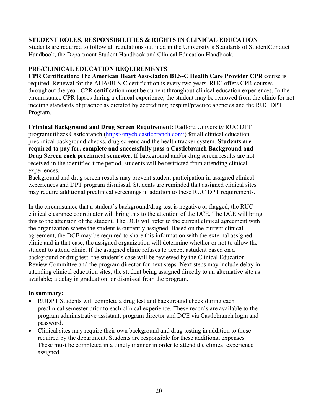#### <span id="page-19-0"></span>**STUDENT ROLES, RESPONSIBILITIES & RIGHTS IN CLINICAL EDUCATION**

Students are required to follow all regulations outlined in the University's Standards of StudentConduct Handbook, the Department Student Handbook and Clinical Education Handbook.

#### <span id="page-19-1"></span>**PRE/CLINICAL EDUCATION REQUIREMENTS**

**CPR Certification:** The **American Heart Association BLS-C Health Care Provider CPR** course is required. Renewal for the AHA/BLS-C certification is every two years. RUC offers CPR courses throughout the year. CPR certification must be current throughout clinical education experiences. In the circumstance CPR lapses during a clinical experience, the student may be removed from the clinic for not meeting standards of practice as dictated by accrediting hospital/practice agencies and the RUC DPT Program.

**Criminal Background and Drug Screen Requirement:** Radford University RUC DPT programutilizes Castlebranch (https://mycb.castlebranch.com/) for all clinical education preclinical background checks, drug screens and the health tracker system. **Students are required to pay for, complete and successfully pass a Castlebranch Background and Drug Screen each preclinical semester.** If background and/or drug screen results are not received in the identified time period, students will be restricted from attending clinical experiences.

Background and drug screen results may prevent student participation in assigned clinical experiences and DPT program dismissal. Students are reminded that assigned clinical sites may require additional preclinical screenings in addition to these RUC DPT requirements.

In the circumstance that a student's background/drug test is negative or flagged, the RUC clinical clearance coordinator will bring this to the attention of the DCE. The DCE will bring this to the attention of the student. The DCE will refer to the current clinical agreement with the organization where the student is currently assigned. Based on the current clinical agreement, the DCE may be required to share this information with the external assigned clinic and in that case, the assigned organization will determine whether or not to allow the student to attend clinic. If the assigned clinic refuses to accept astudent based on a background or drug test, the student's case will be reviewed by the Clinical Education Review Committee and the program director for next steps. Next steps may include delay in attending clinical education sites; the student being assigned directly to an alternative site as available; a delay in graduation; or dismissal from the program.

#### **In summary:**

- RUDPT Students will complete a drug test and background check during each preclinical semester prior to each clinical experience. These records are available to the program administrative assistant, program director and DCE via Castlebranch login and password.
- Clinical sites may require their own background and drug testing in addition to those required by the department. Students are responsible for these additional expenses. These must be completed in a timely manner in order to attend the clinical experience assigned.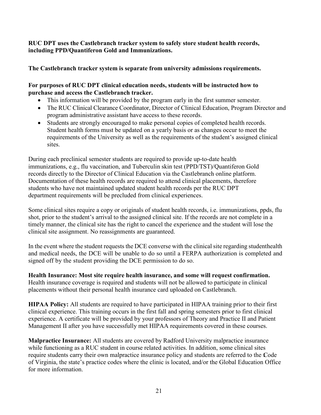#### **RUC DPT uses the Castlebranch tracker system to safely store student health records, including PPD/Quantiferon Gold and Immunizations.**

**The Castlebranch tracker system is separate from university admissions requirements.**

#### **For purposes of RUC DPT clinical education needs, students will be instructed how to purchase and access the Castlebranch tracker.**

- This information will be provided by the program early in the first summer semester.
- The RUC Clinical Clearance Coordinator, Director of Clinical Education, Program Director and program administrative assistant have access to these records.
- Students are strongly encouraged to make personal copies of completed health records. Student health forms must be updated on a yearly basis or as changes occur to meet the requirements of the University as well as the requirements of the student's assigned clinical sites.

During each preclinical semester students are required to provide up-to-date health immunizations, e.g., flu vaccination, and Tuberculin skin test (PPD/TST)/Quantiferon Gold records directly to the Director of Clinical Education via the Castlebranch online platform. Documentation of these health records are required to attend clinical placements, therefore students who have not maintained updated student health records per the RUC DPT department requirements will be precluded from clinical experiences.

Some clinical sites require a copy or originals of student health records, i.e. immunizations, ppds, flu shot, prior to the student's arrival to the assigned clinical site. If the records are not complete in a timely manner, the clinical site has the right to cancel the experience and the student will lose the clinical site assignment. No reassignments are guaranteed.

In the event where the student requests the DCE converse with the clinical site regarding studenthealth and medical needs, the DCE will be unable to do so until a FERPA authorization is completed and signed off by the student providing the DCE permission to do so.

**Health Insurance: Most site require health insurance, and some will request confirmation.**  Health insurance coverage is required and students will not be allowed to participate in clinical placements without their personal health insurance card uploaded on Castlebranch.

**HIPAA Policy:** All students are required to have participated in HIPAA training prior to their first clinical experience. This training occurs in the first fall and spring semesters prior to first clinical experience. A certificate will be provided by your professors of Theory and Practice II and Patient Management II after you have successfully met HIPAA requirements covered in these courses.

**Malpractice Insurance:** All students are covered by Radford University malpractice insurance while functioning as a RUC student in course related activities. In addition, some clinical sites require students carry their own malpractice insurance policy and students are referred to the Code of Virginia, the state's practice codes where the clinic is located, and/or the Global Education Office for more information.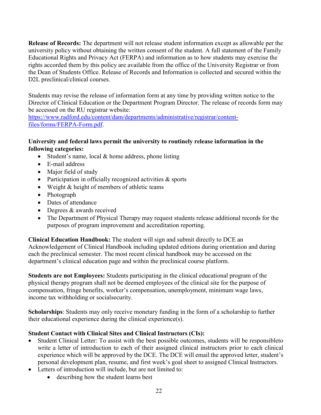**Release of Records:** The department will not release student information except as allowable per the university policy without obtaining the written consent of the student. A full statement of the Family Educational Rights and Privacy Act (FERPA) and information as to how students may exercise the rights accorded them by this policy are available from the office of the University Registrar or from the Dean of Students Office. Release of Records and Information is collected and secured within the D<sub>2</sub>L preclinical/clinical courses.

Students may revise the release of information form at any time by providing written notice to the Director of Clinical Education or the Department Program Director. The release of records form may be accessed on the RU registrar website:

[https://www.radford.edu/content/dam/departments/administrative/registrar/content](https://www.radford.edu/content/dam/departments/administrative/registrar/content-files/forms/FERPA-Form.pdf)[files/forms/FERPA-Form.pdf.](https://www.radford.edu/content/dam/departments/administrative/registrar/content-files/forms/FERPA-Form.pdf)

#### **University and federal laws permit the university to routinely release information in the following categories:**

- Student's name, local  $&$  home address, phone listing
- E-mail address
- Major field of study
- Participation in officially recognized activities & sports
- Weight & height of members of athletic teams
- Photograph
- Dates of attendance
- Degrees & awards received
- The Department of Physical Therapy may request students release additional records for the purposes of program improvement and accreditation reporting.

**Clinical Education Handbook:** The student will sign and submit directly to DCE an Acknowledgement of Clinical Handbook including updated editions during orientation and during each the preclinical semester. The most recent clinical handbook may be accessed on the department's clinical education page and within the preclinical course platform.

**Students are not Employees:** Students participating in the clinical educational program of the physical therapy program shall not be deemed employees of the clinical site for the purpose of compensation, fringe benefits, worker's compensation, unemployment, minimum wage laws, income tax withholding or socialsecurity.

**Scholarships**: Students may only receive monetary funding in the form of a scholarship to further their educational experience during the clinical experience(s).

#### **Student Contact with Clinical Sites and Clinical Instructors (CIs):**

- Student Clinical Letter: To assist with the best possible outcomes, students will be responsibleto write a letter of introduction to each of their assigned clinical instructors prior to each clinical experience which will be approved by the DCE. The DCE will email the approved letter, student's personal development plan, resume, and first week's goal sheet to assigned Clinical Instructors.
- Letters of introduction will include, but are not limited to:
	- describing how the student learns best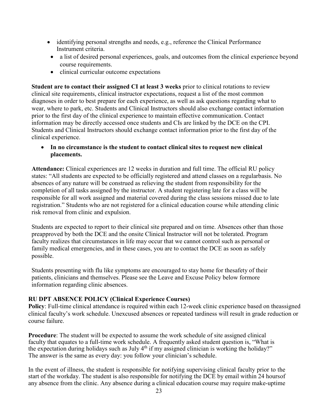- identifying personal strengths and needs, e.g., reference the Clinical Performance Instrument criteria.
- a list of desired personal experiences, goals, and outcomes from the clinical experience beyond course requirements.
- clinical curricular outcome expectations

**Student are to contact their assigned CI at least 3 weeks** prior to clinical rotations to review clinical site requirements, clinical instructor expectations, request a list of the most common diagnoses in order to best prepare for each experience, as well as ask questions regarding what to wear, where to park, etc. Students and Clinical Instructors should also exchange contact information prior to the first day of the clinical experience to maintain effective communication. Contact information may be directly accessed once students and CIs are linked by the DCE on the CPI. Students and Clinical Instructors should exchange contact information prior to the first day of the clinical experience.

• **In no circumstance is the student to contact clinical sites to request new clinical placements.**

**Attendance:** Clinical experiences are 12 weeks in duration and full time. The official RU policy states: "All students are expected to be officially registered and attend classes on a regularbasis. No absences of any nature will be construed as relieving the student from responsibility for the completion of all tasks assigned by the instructor. A student registering late for a class will be responsible for all work assigned and material covered during the class sessions missed due to late registration." Students who are not registered for a clinical education course while attending clinic risk removal from clinic and expulsion.

Students are expected to report to their clinical site prepared and on time. Absences other than those preapproved by both the DCE and the onsite Clinical Instructor will not be tolerated. Program faculty realizes that circumstances in life may occur that we cannot control such as personal or family medical emergencies, and in these cases, you are to contact the DCE as soon as safely possible.

Students presenting with flu like symptoms are encouraged to stay home for thesafety of their patients, clinicians and themselves. Please see the Leave and Excuse Policy below formore information regarding clinic absences.

#### <span id="page-22-0"></span>**RU DPT ABSENCE POLICY (Clinical Experience Courses)**

**Policy**: Full-time clinical attendance is required within each 12-week clinic experience based on theassigned clinical faculty's work schedule. Unexcused absences or repeated tardiness will result in grade reduction or course failure.

**Procedure**: The student will be expected to assume the work schedule of site assigned clinical faculty that equates to a full-time work schedule. A frequently asked student question is, "What is the expectation during holidays such as July 4<sup>th</sup> if my assigned clinician is working the holiday?" The answer is the same as every day: you follow your clinician's schedule.

In the event of illness, the student is responsible for notifying supervising clinical faculty prior to the start of the workday. The student is also responsible for notifying the DCE by email within 24 hoursof any absence from the clinic. Any absence during a clinical education course may require make-uptime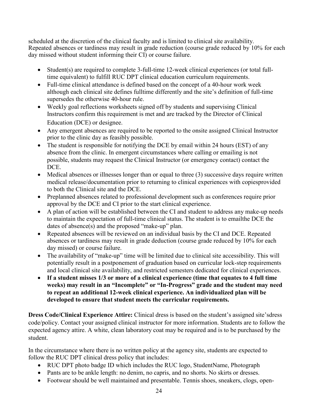scheduled at the discretion of the clinical faculty and is limited to clinical site availability. Repeated absences or tardiness may result in grade reduction (course grade reduced by 10% for each day missed without student informing their CI) or course failure.

- Student(s) are required to complete 3-full-time 12-week clinical experiences (or total fulltime equivalent) to fulfill RUC DPT clinical education curriculum requirements.
- Full-time clinical attendance is defined based on the concept of a 40-hour work week although each clinical site defines fulltime differently and the site's definition of full-time supersedes the otherwise 40-hour rule.
- Weekly goal reflections worksheets signed off by students and supervising Clinical Instructors confirm this requirement is met and are tracked by the Director of Clinical Education (DCE) or designee.
- Any emergent absences are required to be reported to the onsite assigned Clinical Instructor prior to the clinic day as feasibly possible.
- The student is responsible for notifying the DCE by email within 24 hours (EST) of any absence from the clinic. In emergent circumstances where calling or emailing is not possible, students may request the Clinical Instructor (or emergency contact) contact the DCE.
- Medical absences or illnesses longer than or equal to three (3) successive days require written medical release/documentation prior to returning to clinical experiences with copiesprovided to both the Clinical site and the DCE.
- Preplanned absences related to professional development such as conferences require prior approval by the DCE and CI prior to the start clinical experience.
- A plan of action will be established between the CI and student to address any make-up needs to maintain the expectation of full-time clinical status. The student is to emailthe DCE the dates of absence(s) and the proposed "make-up" plan.
- Repeated absences will be reviewed on an individual basis by the CI and DCE. Repeated absences or tardiness may result in grade deduction (course grade reduced by 10% for each day missed) or course failure.
- The availability of "make-up" time will be limited due to clinical site accessibility. This will potentially result in a postponement of graduation based on curricular lock-step requirements and local clinical site availability, and restricted semesters dedicated for clinical experiences.
- **If a student misses 1/3 or more of a clinical experience (time that equates to 4 full time weeks) may result in an "Incomplete" or "In-Progress" grade and the student may need to repeat an additional 12-week clinical experience. An individualized plan will be developed to ensure that student meets the curricular requirements.**

**Dress Code/Clinical Experience Attire:** Clinical dress is based on the student's assigned site'sdress code/policy. Contact your assigned clinical instructor for more information. Students are to follow the expected agency attire. A white, clean laboratory coat may be required and is to be purchased by the student.

In the circumstance where there is no written policy at the agency site, students are expected to follow the RUC DPT clinical dress policy that includes:

- RUC DPT photo badge ID which includes the RUC logo, StudentName, Photograph
- Pants are to be ankle length: no denim, no capris, and no shorts. No skirts or dresses.
- Footwear should be well maintained and presentable. Tennis shoes, sneakers, clogs, open-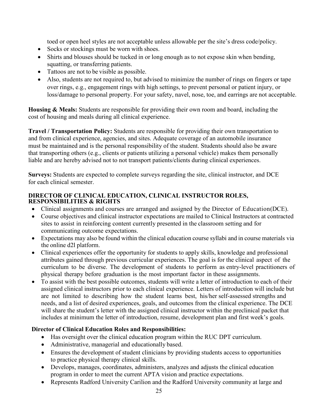toed or open heel styles are not acceptable unless allowable per the site's dress code/policy.

- Socks or stockings must be worn with shoes.
- Shirts and blouses should be tucked in or long enough as to not expose skin when bending, squatting, or transferring patients.
- Tattoos are not to be visible as possible.
- Also, students are not required to, but advised to minimize the number of rings on fingers or tape over rings, e.g., engagement rings with high settings, to prevent personal or patient injury, or loss/damage to personal property. For your safety, navel, nose, toe, and earrings are not acceptable.

**Housing & Meals:** Students are responsible for providing their own room and board, including the cost of housing and meals during all clinical experience.

**Travel / Transportation Policy:** Students are responsible for providing their own transportation to and from clinical experience, agencies, and sites. Adequate coverage of an automobile insurance must be maintained and is the personal responsibility of the student. Students should also be aware that transporting others (e.g., clients or patients utilizing a personal vehicle) makes them personally liable and are hereby advised not to not transport patients/clients during clinical experiences.

**Surveys:** Students are expected to complete surveys regarding the site, clinical instructor, and DCE for each clinical semester.

#### <span id="page-24-0"></span>**DIRECTOR OF CLINICAL EDUCATION, CLINICAL INSTRUCTOR ROLES, RESPONSIBILITIES & RIGHTS**

- Clinical assignments and courses are arranged and assigned by the Director of Education(DCE).
- Course objectives and clinical instructor expectations are mailed to Clinical Instructors at contracted sites to assist in reinforcing content currently presented in the classroom setting and for communicating outcome expectations.
- Expectations may also be found within the clinical education course syllabi and in course materials via the online d2l platform.
- Clinical experiences offer the opportunity for students to apply skills, knowledge and professional attributes gained through previous curricular experiences. The goal is for the clinical aspect of the curriculum to be diverse. The development of students to perform as entry-level practitioners of physical therapy before graduation is the most important factor in these assignments.
- To assist with the best possible outcomes, students will write a letter of introduction to each of their assigned clinical instructors prior to each clinical experience. Letters of introduction will include but are not limited to describing how the student learns best, his/her self-assessed strengths and needs, and a list of desired experiences, goals, and outcomes from the clinical experience. The DCE will share the student's letter with the assigned clinical instructor within the preclinical packet that includes at minimum the letter of introduction, resume, development plan and first week's goals.

#### **Director of Clinical Education Roles and Responsibilities:**

- Has oversight over the clinical education program within the RUC DPT curriculum.
- Administrative, managerial and educationally based.
- Ensures the development of student clinicians by providing students access to opportunities to practice physical therapy clinical skills.
- Develops, manages, coordinates, administers, analyzes and adjusts the clinical education program in order to meet the current APTA vision and practice expectations.
- Represents Radford University Carilion and the Radford University community at large and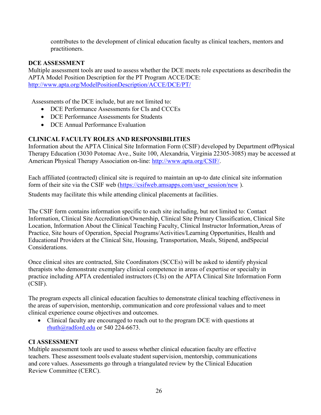contributes to the development of clinical education faculty as clinical teachers, mentors and practitioners.

#### **DCE ASSESSMENT**

Multiple assessment tools are used to assess whether the DCE meets role expectations as describedin the APTA Model Position Description for the PT Program ACCE/DCE: <http://www.apta.org/ModelPositionDescription/ACCE/DCE/PT/>

Assessments of the DCE include, but are not limited to:

- DCE Performance Assessments for CIs and CCCEs
- DCE Performance Assessments for Students
- DCE Annual Performance Evaluation

#### <span id="page-25-0"></span>**CLINICAL FACULTY ROLES AND RESPONSIBILITIES**

Information about the APTA Clinical Site Information Form (CSIF) developed by Department ofPhysical Therapy Education (3030 Potomac Ave., Suite 100, Alexandria, Virginia 22305-3085) may be accessed at American Physical Therapy Association on-line: [http://www.apta.org/CSIF/.](http://www.apta.org/CSIF/)

Each affiliated (contracted) clinical site is required to maintain an up-to date clinical site information form of their site via the CSIF web (https://csifweb.amsapps.com/user\_session/new ).

Students may facilitate this while attending clinical placements at facilities.

The CSIF form contains information specific to each site including, but not limited to: Contact Information, Clinical Site Accreditation/Ownership, Clinical Site Primary Classification, Clinical Site Location, Information About the Clinical Teaching Faculty, Clinical Instructor Information,Areas of Practice, Site hours of Operation, Special Programs/Activities/Learning Opportunities, Health and Educational Providers at the Clinical Site, Housing, Transportation, Meals, Stipend, andSpecial Considerations.

Once clinical sites are contracted, Site Coordinators (SCCEs) will be asked to identify physical therapists who demonstrate exemplary clinical competence in areas of expertise or specialty in practice including APTA credentialed instructors (CIs) on the APTA Clinical Site Information Form (CSIF).

The program expects all clinical education faculties to demonstrate clinical teaching effectiveness in the areas of supervision, mentorship, communication and core professional values and to meet clinical experience course objectives and outcomes.

• Clinical faculty are encouraged to reach out to the program DCE with questions at [rhuth@radford.edu](mailto:rhuth@radford.edu) or 540 224-6673.

#### **CI ASSESSMENT**

Multiple assessment tools are used to assess whether clinical education faculty are effective teachers. These assessment tools evaluate student supervision, mentorship, communications and core values. Assessments go through a triangulated review by the Clinical Education Review Committee (CERC).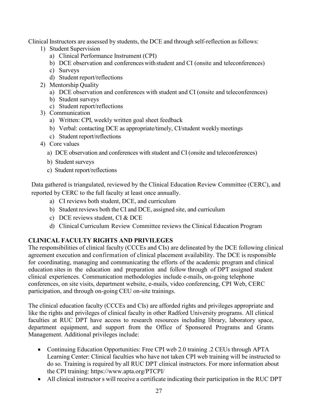Clinical Instructors are assessed by students, the DCE and through self-reflection as follows:

- 1) Student Supervision
	- a) Clinical Performance Instrument (CPI)
	- b) DCE observation and conferenceswith student and CI (onsite and teleconferences)
	- c) Surveys
	- d) Student report/reflections
- 2) Mentorship Quality
	- a) DCE observation and conferences with student and CI (onsite and teleconferences)
	- b) Student surveys
	- c) Student report/reflections
- 3) Communication
	- a) Written: CPI, weekly written goal sheet feedback
	- b) Verbal: contacting DCE as appropriate/timely, CI/student weeklymeetings
	- c) Student report/reflections
- 4) Core values
	- a) DCE observation and conferences with student and CI (onsite and teleconferences)
	- b) Student surveys
	- c) Student report/reflections

Data gathered is triangulated, reviewed by the Clinical Education Review Committee (CERC), and reported by CERC to the full faculty at least once annually.

- a) CI reviews both student, DCE, and curriculum
- b) Student reviews both the CI and DCE, assigned site, and curriculum
- c) DCE reviews student, CI & DCE
- d) Clinical Curriculum Review Committee reviews the Clinical Education Program

#### **CLINICAL FACULTY RIGHTS AND PRIVILEGES**

The responsibilities of clinical faculty (CCCEs and CIs) are delineated by the DCE following clinical agreement execution and confirmation of clinical placement availability. The DCE is responsible for coordinating, managing and communicating the efforts of the academic program and clinical education sites in the education and preparation and follow through of DPT assigned student clinical experiences. Communication methodologies include e-mails, on-going telephone conferences, on site visits, department website, e-mails, video conferencing, CPI Web, CERC participation, and through on-going CEU on-site trainings.

The clinical education faculty (CCCEs and CIs) are afforded rights and privileges appropriate and like the rights and privileges of clinical faculty in other Radford University programs. All clinical faculties at RUC DPT have access to research resources including library, laboratory space, department equipment, and support from the Office of Sponsored Programs and Grants Management. Additional privileges include:

- Continuing Education Opportunities: Free CPI web 2.0 training .2 CEUs through APTA Learning Center: Clinical faculties who have not taken CPI web training will be instructed to do so. Training is required by all RUC DPT clinical instructors. For more information about the CPI training: https:/[/www.apta.org/PTCPI/](http://www.apta.org/PTCPI/)
- All clinical instructor s will receive a certificate indicating their participation in the RUC DPT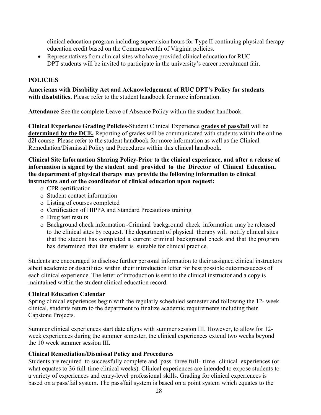clinical education program including supervision hours for Type II continuing physical therapy education credit based on the Commonwealth of Virginia policies.

• Representatives from clinical sites who have provided clinical education for RUC DPT students will be invited to participate in the university's career recruitment fair.

#### **POLICIES**

**Americans with Disability Act and Acknowledgement of RUC DPT's Policy for students with disabilities.** Please refer to the student handbook for more information.

**Attendance**-See the complete Leave of Absence Policy within the student handbook.

**Clinical Experience Grading Policies-**Student Clinical Experience **grades of pass/fail** will be **determined by the DCE.** Reporting of grades will be communicated with students within the online d2l course. Please refer to the student handbook for more information as well as the Clinical Remediation/Dismissal Policy and Procedures within this clinical handbook.

#### **Clinical Site Information Sharing Policy-Prior to the clinical experience, and after a release of information is signed by the student and provided to the Director of Clinical Education, the department of physical therapy may provide the following information to clinical instructors and or the coordinator of clinical education upon request:**

- o CPR certification
- o Student contact information
- o Listing of courses completed
- o Certification of HIPPA and Standard Precautions training
- o Drug test results
- o Background check information -Criminal background check information may be released to the clinical sites by request. The department of physical therapy will notify clinical sites that the student has completed a current criminal background check and that the program has determined that the student is suitable for clinical practice.

Students are encouraged to disclose further personal information to their assigned clinical instructors albeit academic or disabilities within their introduction letter for best possible outcomesuccess of each clinical experience. The letter of introduction is sent to the clinical instructor and a copy is maintained within the student clinical education record.

#### **Clinical Education Calendar**

Spring clinical experiences begin with the regularly scheduled semester and following the 12- week clinical, students return to the department to finalize academic requirements including their Capstone Projects.

Summer clinical experiences start date aligns with summer session III. However, to allow for 12 week experiences during the summer semester, the clinical experiences extend two weeks beyond the 10 week summer session III.

#### **Clinical Remediation/Dismissal Policy and Procedures**

Students are required to successfully complete and pass three full- time clinical experiences (or what equates to 36 full-time clinical weeks). Clinical experiences are intended to expose students to a variety of experiences and entry-level professional skills. Grading for clinical experiences is based on a pass/fail system. The pass/fail system is based on a point system which equates to the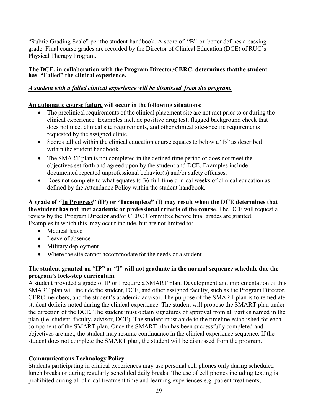"Rubric Grading Scale" per the student handbook. A score of "B" or better defines a passing grade. Final course grades are recorded by the Director of Clinical Education (DCE) of RUC's Physical Therapy Program.

#### <span id="page-28-0"></span>**The DCE, in collaboration with the Program Director/CERC, determines thatthe student has "Failed" the clinical experience.**

#### <span id="page-28-1"></span>*A student with a failed clinical experience will be dismissed from the program.*

#### **An automatic course failure will occur in the following situations:**

- The preclinical requirements of the clinical placement site are not met prior to or during the clinical experience. Examples include positive drug test, flagged background check that does not meet clinical site requirements, and other clinical site-specific requirements requested by the assigned clinic.
- Scores tallied within the clinical education course equates to below a "B" as described within the student handbook.
- The SMART plan is not completed in the defined time period or does not meet the objectives set forth and agreed upon by the student and DCE. Examples include documented repeated unprofessional behavior(s) and/or safety offenses.
- Does not complete to what equates to 36 full-time clinical weeks of clinical education as defined by the Attendance Policy within the student handbook.

**A grade of "In Progress" (IP) or "Incomplete" (I) may result when the DCE determines that the student has not met academic or professional criteria of the course**. The DCE will request a review by the Program Director and/or CERC Committee before final grades are granted. Examples in which this may occur include, but are not limited to:

- Medical leave
- Leave of absence
- Military deployment
- Where the site cannot accommodate for the needs of a student

#### **The student granted an "IP" or "I" will not graduate in the normal sequence schedule due the program's lock-step curriculum.**

A student provided a grade of IP or I require a SMART plan. Development and implementation of this SMART plan will include the student, DCE, and other assigned faculty, such as the Program Director, CERC members, and the student's academic advisor. The purpose of the SMART plan is to remediate student deficits noted during the clinical experience. The student will propose the SMART plan under the direction of the DCE. The student must obtain signatures of approval from all parties named in the plan (i.e. student, faculty, advisor, DCE). The student must abide to the timeline established for each component of the SMART plan. Once the SMART plan has been successfully completed and objectives are met, the student may resume continuance in the clinical experience sequence. If the student does not complete the SMART plan, the student will be dismissed from the program.

#### **Communications Technology Policy**

Students participating in clinical experiences may use personal cell phones only during scheduled lunch breaks or during regularly scheduled daily breaks. The use of cell phones including texting is prohibited during all clinical treatment time and learning experiences e.g. patient treatments,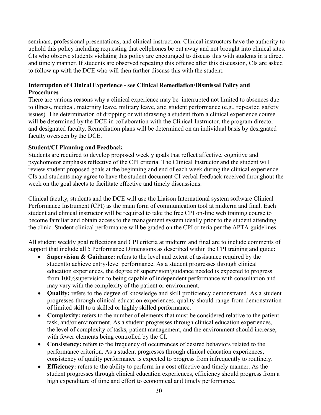seminars, professional presentations, and clinical instruction. Clinical instructors have the authority to uphold this policy including requesting that cellphones be put away and not brought into clinical sites. CIs who observe students violating this policy are encouraged to discuss this with students in a direct and timely manner. If students are observed repeating this offense after this discussion, CIs are asked to follow up with the DCE who will then further discuss this with the student.

#### **Interruption of Clinical Experience - see Clinical Remediation/Dismissal Policy and Procedures**

There are various reasons why a clinical experience may be interrupted not limited to absences due to illness, medical, maternity leave, military leave, and student performance (e.g., repeated safety issues). The determination of dropping or withdrawing a student from a clinical experience course will be determined by the DCE in collaboration with the Clinical Instructor, the program director and designated faculty. Remediation plans will be determined on an individual basis by designated faculty overseen by the DCE.

#### **Student/CI Planning and Feedback**

Students are required to develop proposed weekly goals that reflect affective, cognitive and psychomotor emphasis reflective of the CPI criteria. The Clinical Instructor and the student will review student proposed goals at the beginning and end of each week during the clinical experience. CIs and students may agree to have the student document CI verbal feedback received throughout the week on the goal sheets to facilitate effective and timely discussions.

Clinical faculty, students and the DCE will use the Liaison International system software Clinical Performance Instrument (CPI) as the main form of communication tool at midterm and final. Each student and clinical instructor will be required to take the free CPI on-line web training course to become familiar and obtain access to the management system ideally prior to the student attending the clinic. Student clinical performance will be graded on the CPI criteria per the APTA guidelines.

All student weekly goal reflections and CPI criteria at midterm and final are to include comments of support that include all 5 Performance Dimensions as described within the CPI training and guide:

- **Supervision & Guidance:** refers to the level and extent of assistance required by the studentto achieve entry-level performance. As a student progresses through clinical education experiences, the degree of supervision/guidance needed is expected to progress from 100%supervision to being capable of independent performance with consultation and may vary with the complexity of the patient or environment.
- **Quality:** refers to the degree of knowledge and skill proficiency demonstrated. As a student progresses through clinical education experiences, quality should range from demonstration of limited skill to a skilled or highly skilled performance.
- **Complexity:** refers to the number of elements that must be considered relative to the patient task, and/or environment. As a student progresses through clinical education experiences, the level of complexity of tasks, patient management, and the environment should increase, with fewer elements being controlled by the CI.
- **Consistency:** refers to the frequency of occurrences of desired behaviors related to the performance criterion. As a student progresses through clinical education experiences, consistency of quality performance is expected to progress from infrequently to routinely.
- **Efficiency:** refers to the ability to perform in a cost effective and timely manner. As the student progresses through clinical education experiences, efficiency should progress from a high expenditure of time and effort to economical and timely performance.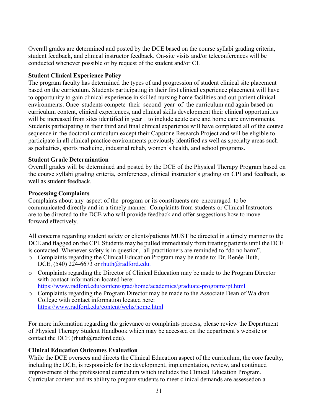Overall grades are determined and posted by the DCE based on the course syllabi grading criteria, student feedback, and clinical instructor feedback. On-site visits and/or teleconferences will be conducted whenever possible or by request of the student and/or CI.

#### **Student Clinical Experience Policy**

The program faculty has determined the types of and progression of student clinical site placement based on the curriculum. Students participating in their first clinical experience placement will have to opportunity to gain clinical experience in skilled nursing home facilities and out-patient clinical environments. Once students compete their second year of the curriculum and again based on curriculum content, clinical experiences, and clinical skills development their clinical opportunities will be increased from sites identified in year 1 to include acute care and home care environments. Students participating in their third and final clinical experience will have completed all of the course sequence in the doctoral curriculum except their Capstone Research Project and will be eligible to participate in all clinical practice environments previously identified as well as specialty areas such as pediatrics, sports medicine, industrial rehab, women's health, and school programs.

#### **Student Grade Determination**

Overall grades will be determined and posted by the DCE of the Physical Therapy Program based on the course syllabi grading criteria, conferences, clinical instructor's grading on CPI and feedback, as well as student feedback.

#### **Processing Complaints**

Complaints about any aspect of the program or its constituents are encouraged to be communicated directly and in a timely manner. Complaints from students or Clinical Instructors are to be directed to the DCE who will provide feedback and offer suggestions how to move forward effectively.

All concerns regarding student safety or clients/patients MUST be directed in a timely manner to the DCE and flagged on the CPI. Students may be pulled immediately from treating patients until the DCE is contacted. Whenever safety is in question, all practitioners are reminded to "do no harm".

- o Complaints regarding the Clinical Education Program may be made to: Dr. Renée Huth, DCE, (540) 224-6673 or [rhuth@radford.edu.](mailto:rhuth@radford.edu.)
- o Complaints regarding the Director of Clinical Education may be made to the Program Director with contact information located here:

<https://www.radford.edu/content/grad/home/academics/graduate-programs/pt.html>

o Complaints regarding the Program Director may be made to the Associate Dean of Waldron College with contact information located here: <https://www.radford.edu/content/wchs/home.html>

For more information regarding the grievance or complaints process, please review the Department of Physical Therapy Student Handbook which may be accessed on the department's website or contact the DCE (rhuth@radford.edu).

#### **Clinical Education Outcomes Evaluation**

While the DCE oversees and directs the Clinical Education aspect of the curriculum, the core faculty, including the DCE, is responsible for the development, implementation, review, and continued improvement of the professional curriculum which includes the Clinical Education Program. Curricular content and its ability to prepare students to meet clinical demands are assessedon a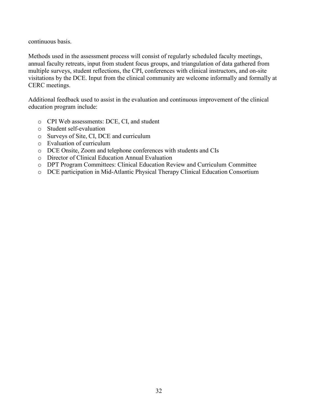continuous basis.

Methods used in the assessment process will consist of regularly scheduled faculty meetings, annual faculty retreats, input from student focus groups, and triangulation of data gathered from multiple surveys, student reflections, the CPI, conferences with clinical instructors, and on-site visitations by the DCE. Input from the clinical community are welcome informally and formally at CERC meetings.

Additional feedback used to assist in the evaluation and continuous improvement of the clinical education program include:

- o CPI Web assessments: DCE, CI, and student
- o Student self-evaluation
- o Surveys of Site, CI, DCE and curriculum
- o Evaluation of curriculum
- o DCE Onsite, Zoom and telephone conferences with students and CIs
- o Director of Clinical Education Annual Evaluation
- o DPT Program Committees: Clinical Education Review and Curriculum Committee
- o DCE participation in Mid-Atlantic Physical Therapy Clinical Education Consortium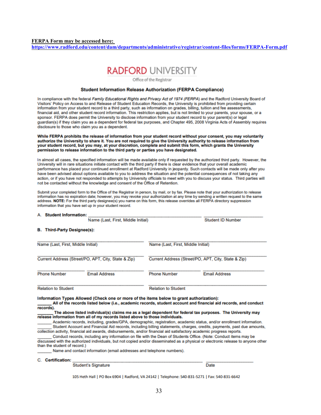#### <span id="page-32-0"></span>**FERPA Form may be accessed here:**

**<https://www.radford.edu/content/dam/departments/administrative/registrar/content-files/forms/FERPA-Form.pdf>**



Office of the Registrar

#### **Student Information Release Authorization (FERPA Compliance)**

In compliance with the federal Family Educational Rights and Privacy Act of 1974 (FERPA) and the Radford University Board of Visitors' Policy on Access to and Release of Student Education Records, the University is prohibited from providing certain information from your student record to a third party, such as information on grades, billing, tuition and fee assessments, financial aid, and other student record information. This restriction applies, but is not limited to your parents, your spouse, or a sponsor. FERPA does permit the University to disclose information from your student record to your parent(s) or legal quardian(s) if they claim you as a dependent for federal tax purposes, and Chapter 495, 2008 Virginia Acts of Assembly requires disclosure to those who claim you as a dependent.

While FERPA prohibits the release of information from your student record without your consent, you may voluntarily authorize the University to share it. You are not required to give the University authority to release information from your student record, but you may, at your discretion, complete and submit this form, which grants the University permission to release information to the third party or parties you have designated.

In almost all cases, the specified information will be made available only if requested by the authorized third party. However, the University will in rare situations initiate contact with the third party if there is clear evidence that your overall academic performance has placed your continued enrollment at Radford University in jeopardy. Such contacts will be made only after you have been advised about options available to you to address the situation and the potential consequences of not taking any action, or if you have not responded to attempts by University officials to meet with you to discuss your status. Third parties will not be contacted without the knowledge and consent of the Office of Retention.

Submit your completed form to the Office of the Registrar in person, by mail, or by fax. Please note that your authorization to release information has no expiration date; however, you may revoke your authorization at any time by sending a written request to the same address. NOTE: For the third party designee(s) you name on this form, this release overrides all FERPA directory suppression information that you have set up in your student record.

#### A. Student Information:

|                                                     | Name (Last, First, Middle Initial) |                                                     | <b>Student ID Number</b> |
|-----------------------------------------------------|------------------------------------|-----------------------------------------------------|--------------------------|
| <b>B.</b> Third-Party Designee(s):                  |                                    |                                                     |                          |
| Name (Last, First, Middle Initial)                  |                                    | Name (Last, First, Middle Initial)                  |                          |
| Current Address (Street/PO, APT, City, State & Zip) |                                    | Current Address (Street/PO, APT, City, State & Zip) |                          |
| <b>Phone Number</b>                                 | <b>Email Address</b>               | <b>Phone Number</b>                                 | <b>Email Address</b>     |
| <b>Relation to Student</b>                          |                                    | <b>Relation to Student</b>                          |                          |

Information Types Allowed (Check one or more of the items below to grant authorization):

All of the records listed below (i.e., academic records, student account and financial aid records, and conduct records).

#### The above listed individual(s) claims me as a legal dependent for federal tax purposes. The University may release information from all of my records listed above to those individuals.

Academic records, including, grades/GPA, demographic, registration, academic status, and/or enrollment information. Student Account and Financial Aid records, including billing statements, charges, credits, payments, past due amounts, collection activity, financial aid awards, disbursements, and/or financial aid satisfactory academic progress reports.

Conduct records, including any information on file with the Dean of Students Office, (Note: Conduct items may be discussed with the authorized individuals, but not copied and/or disseminated as a physical or electronic release to anyone other than the student of record.)

Name and contact information (email addresses and telephone numbers).

#### C. Certification:

**Student's Signature** 

**Date** 

105 Heth Hall | PO Box 6904 | Radford, VA 24142 | Telephone: 540-831-5271 | Fax: 540-831-6642